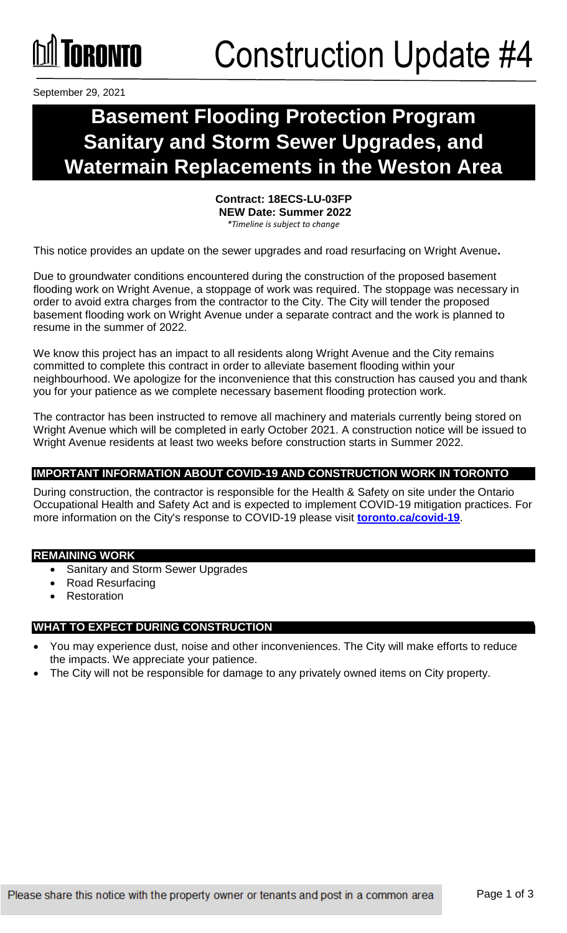## **NANA DE ANGELA ANGELIA PERSONA PERSONA DELL**

September 29, 2021

### **Basement Flooding Protection Program Sanitary and Storm Sewer Upgrades, and Watermain Replacements in the Weston Area**

**Contract: 18ECS-LU-03FP NEW Date: Summer 2022**  *\*Timeline is subject to change*

This notice provides an update on the sewer upgrades and road resurfacing on Wright Avenue**.**

Due to groundwater conditions encountered during the construction of the proposed basement flooding work on Wright Avenue, a stoppage of work was required. The stoppage was necessary in order to avoid extra charges from the contractor to the City. The City will tender the proposed basement flooding work on Wright Avenue under a separate contract and the work is planned to resume in the summer of 2022.

We know this project has an impact to all residents along Wright Avenue and the City remains committed to complete this contract in order to alleviate basement flooding within your neighbourhood. We apologize for the inconvenience that this construction has caused you and thank you for your patience as we complete necessary basement flooding protection work.

The contractor has been instructed to remove all machinery and materials currently being stored on Wright Avenue which will be completed in early October 2021. A construction notice will be issued to Wright Avenue residents at least two weeks before construction starts in Summer 2022.

### **IMPORTANT INFORMATION ABOUT COVID-19 AND CONSTRUCTION WORK IN TORONTO**

During construction, the contractor is responsible for the Health & Safety on site under the Ontario Occupational Health and Safety Act and is expected to implement COVID-19 mitigation practices. For more information on the City's response to COVID-19 please visit **[toronto.ca/covid-19](http://www.toronto.ca/covid-19)**.

### **REMAINING WORK**

- Sanitary and Storm Sewer Upgrades
- Road Resurfacing
- Restoration

### **WHAT TO EXPECT DURING CONSTRUCTION**

- You may experience dust, noise and other inconveniences. The City will make efforts to reduce the impacts. We appreciate your patience.
- The City will not be responsible for damage to any privately owned items on City property.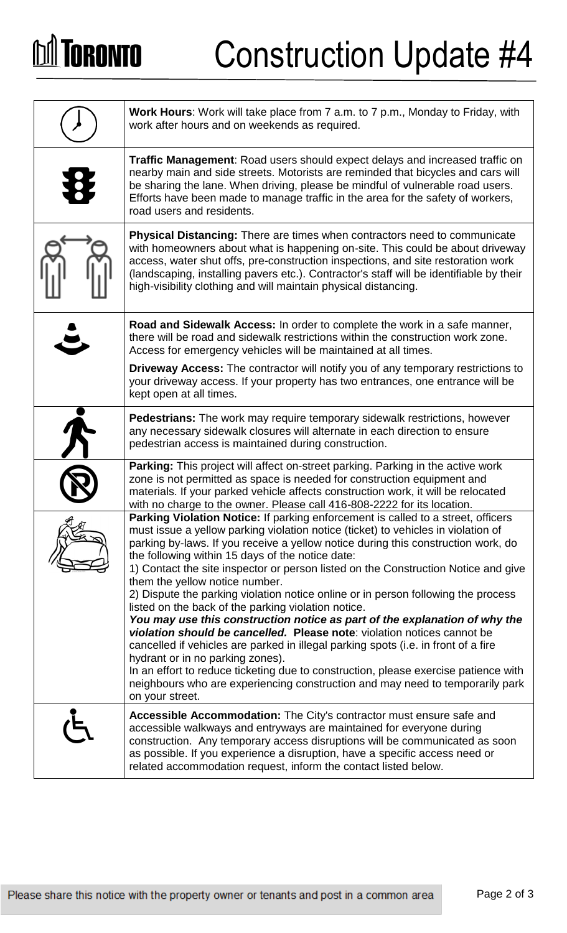# **DA TORONTO**

# Construction Update #4

| <b>Work Hours:</b> Work will take place from 7 a.m. to 7 p.m., Monday to Friday, with<br>work after hours and on weekends as required.                                                                                                                                                                                                                                                                                                                                                                                                                                                                                                                                                                                                                                                                                                                                                                                                                                                                                                                                  |
|-------------------------------------------------------------------------------------------------------------------------------------------------------------------------------------------------------------------------------------------------------------------------------------------------------------------------------------------------------------------------------------------------------------------------------------------------------------------------------------------------------------------------------------------------------------------------------------------------------------------------------------------------------------------------------------------------------------------------------------------------------------------------------------------------------------------------------------------------------------------------------------------------------------------------------------------------------------------------------------------------------------------------------------------------------------------------|
| Traffic Management: Road users should expect delays and increased traffic on<br>nearby main and side streets. Motorists are reminded that bicycles and cars will<br>be sharing the lane. When driving, please be mindful of vulnerable road users.<br>Efforts have been made to manage traffic in the area for the safety of workers,<br>road users and residents.                                                                                                                                                                                                                                                                                                                                                                                                                                                                                                                                                                                                                                                                                                      |
| <b>Physical Distancing:</b> There are times when contractors need to communicate<br>with homeowners about what is happening on-site. This could be about driveway<br>access, water shut offs, pre-construction inspections, and site restoration work<br>(landscaping, installing pavers etc.). Contractor's staff will be identifiable by their<br>high-visibility clothing and will maintain physical distancing.                                                                                                                                                                                                                                                                                                                                                                                                                                                                                                                                                                                                                                                     |
| Road and Sidewalk Access: In order to complete the work in a safe manner,<br>there will be road and sidewalk restrictions within the construction work zone.<br>Access for emergency vehicles will be maintained at all times.                                                                                                                                                                                                                                                                                                                                                                                                                                                                                                                                                                                                                                                                                                                                                                                                                                          |
| <b>Driveway Access:</b> The contractor will notify you of any temporary restrictions to<br>your driveway access. If your property has two entrances, one entrance will be<br>kept open at all times.                                                                                                                                                                                                                                                                                                                                                                                                                                                                                                                                                                                                                                                                                                                                                                                                                                                                    |
| <b>Pedestrians:</b> The work may require temporary sidewalk restrictions, however<br>any necessary sidewalk closures will alternate in each direction to ensure<br>pedestrian access is maintained during construction.                                                                                                                                                                                                                                                                                                                                                                                                                                                                                                                                                                                                                                                                                                                                                                                                                                                 |
| Parking: This project will affect on-street parking. Parking in the active work<br>zone is not permitted as space is needed for construction equipment and<br>materials. If your parked vehicle affects construction work, it will be relocated<br>with no charge to the owner. Please call 416-808-2222 for its location.                                                                                                                                                                                                                                                                                                                                                                                                                                                                                                                                                                                                                                                                                                                                              |
| <b>Parking Violation Notice:</b> If parking enforcement is called to a street, officers<br>must issue a yellow parking violation notice (ticket) to vehicles in violation of<br>parking by-laws. If you receive a yellow notice during this construction work, do<br>the following within 15 days of the notice date:<br>1) Contact the site inspector or person listed on the Construction Notice and give<br>them the yellow notice number.<br>2) Dispute the parking violation notice online or in person following the process<br>listed on the back of the parking violation notice.<br>You may use this construction notice as part of the explanation of why the<br>violation should be cancelled. Please note: violation notices cannot be<br>cancelled if vehicles are parked in illegal parking spots (i.e. in front of a fire<br>hydrant or in no parking zones).<br>In an effort to reduce ticketing due to construction, please exercise patience with<br>neighbours who are experiencing construction and may need to temporarily park<br>on your street. |
| Accessible Accommodation: The City's contractor must ensure safe and<br>accessible walkways and entryways are maintained for everyone during<br>construction. Any temporary access disruptions will be communicated as soon<br>as possible. If you experience a disruption, have a specific access need or<br>related accommodation request, inform the contact listed below.                                                                                                                                                                                                                                                                                                                                                                                                                                                                                                                                                                                                                                                                                           |